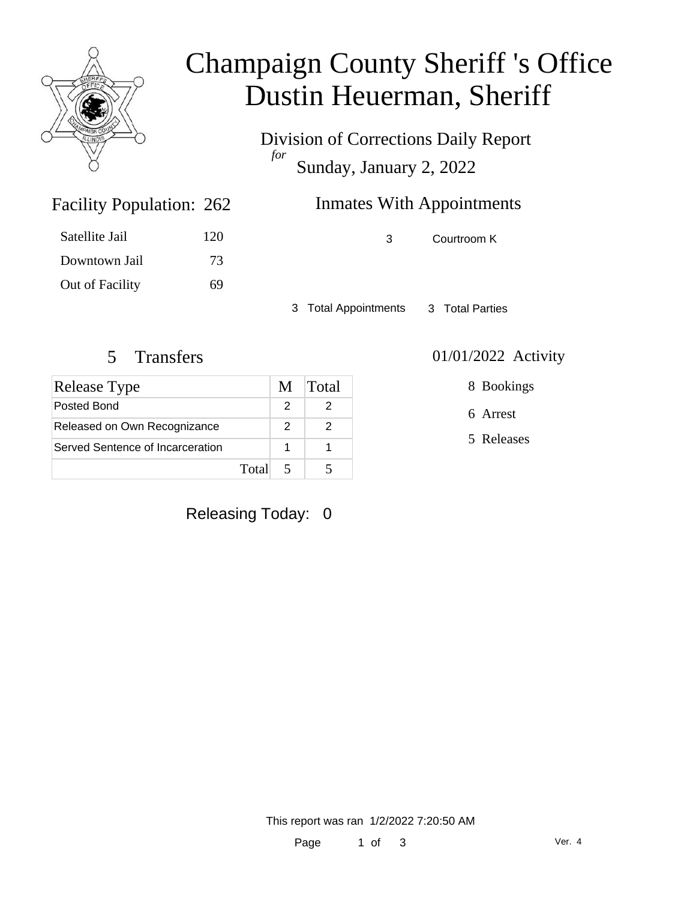

## Champaign County Sheriff 's Office Dustin Heuerman, Sheriff

Division of Corrections Daily Report *for* Sunday, January 2, 2022

| 262 | <b>Inmates With Appointments</b> |
|-----|----------------------------------|
|     |                                  |

3 Courtroom K

3 Total Appointments 3 Total Parties

#### 5 Transfers 01/01/2022 Activity

Facility Population: 262

Satellite Jail 120

Downtown Jail 73

Out of Facility 69

| <b>Release Type</b>              | M | <b>Total</b> |
|----------------------------------|---|--------------|
| Posted Bond                      |   |              |
| Released on Own Recognizance     | 2 |              |
| Served Sentence of Incarceration |   |              |
| Total                            |   |              |

## Releasing Today: 0

8 Bookings

6 Arrest

5 Releases

This report was ran 1/2/2022 7:20:50 AM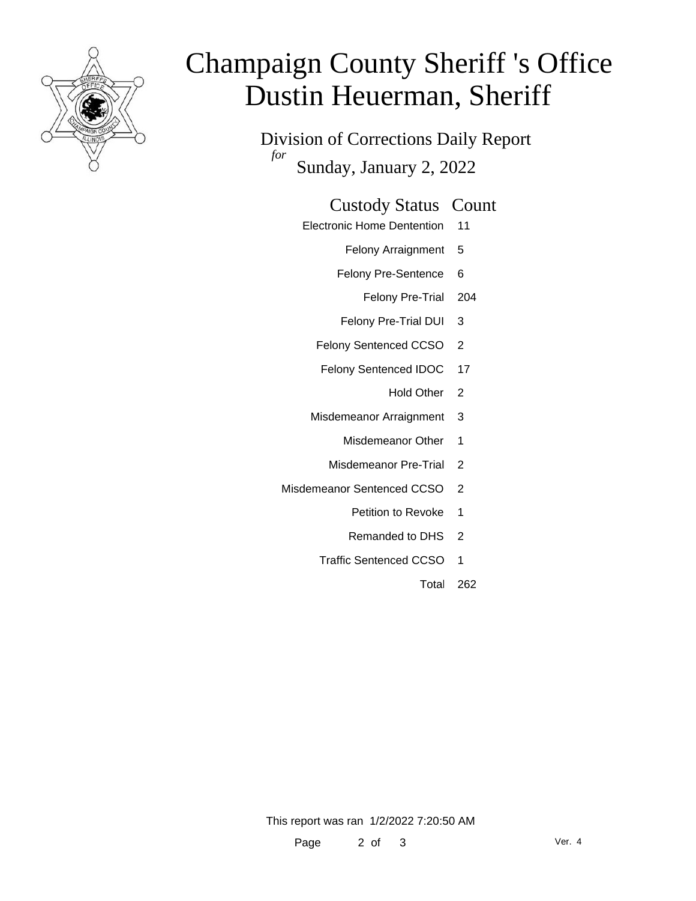

# Champaign County Sheriff 's Office Dustin Heuerman, Sheriff

Division of Corrections Daily Report *for* Sunday, January 2, 2022

#### Custody Status Count

Electronic Home Dentention 11

Felony Arraignment 5

- Felony Pre-Sentence 6
	- Felony Pre-Trial 204
- Felony Pre-Trial DUI 3
- Felony Sentenced CCSO 2
- Felony Sentenced IDOC 17
	- Hold Other 2
- Misdemeanor Arraignment 3
	- Misdemeanor Other 1
	- Misdemeanor Pre-Trial 2
- Misdemeanor Sentenced CCSO 2
	- Petition to Revoke 1
	- Remanded to DHS 2
	- Traffic Sentenced CCSO 1
		- Total 262

This report was ran 1/2/2022 7:20:50 AM